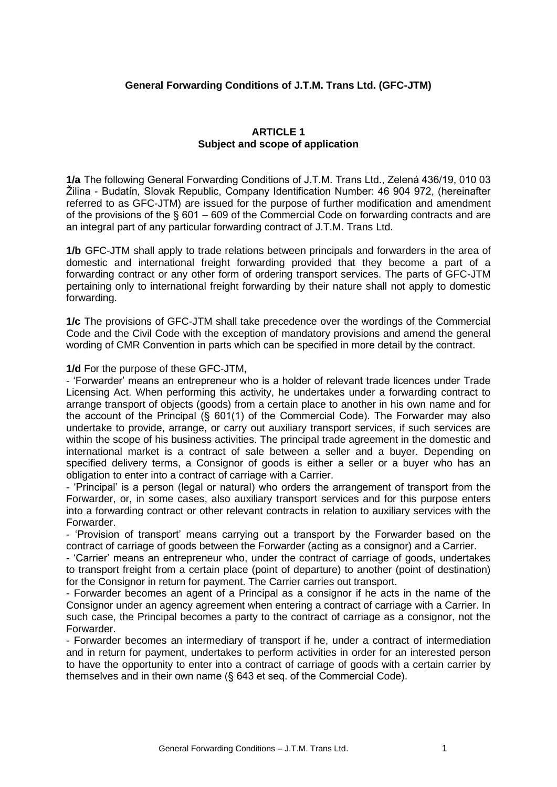## **General Forwarding Conditions of J.T.M. Trans Ltd. (GFC-JTM)**

## **ARTICLE 1 Subject and scope of application**

**1/a** The following General Forwarding Conditions of J.T.M. Trans Ltd., Zelená 436/19, 010 03 Žilina - Budatín, Slovak Republic, Company Identification Number: 46 904 972, (hereinafter referred to as GFC-JTM) are issued for the purpose of further modification and amendment of the provisions of the § 601 – 609 of the Commercial Code on forwarding contracts and are an integral part of any particular forwarding contract of J.T.M. Trans Ltd.

**1/b** GFC-JTM shall apply to trade relations between principals and forwarders in the area of domestic and international freight forwarding provided that they become a part of a forwarding contract or any other form of ordering transport services. The parts of GFC-JTM pertaining only to international freight forwarding by their nature shall not apply to domestic forwarding.

**1/c** The provisions of GFC-JTM shall take precedence over the wordings of the Commercial Code and the Civil Code with the exception of mandatory provisions and amend the general wording of CMR Convention in parts which can be specified in more detail by the contract.

**1/d** For the purpose of these GFC-JTM,

- 'Forwarder' means an entrepreneur who is a holder of relevant trade licences under Trade Licensing Act. When performing this activity, he undertakes under a forwarding contract to arrange transport of objects (goods) from a certain place to another in his own name and for the account of the Principal (§ 601(1) of the Commercial Code). The Forwarder may also undertake to provide, arrange, or carry out auxiliary transport services, if such services are within the scope of his business activities. The principal trade agreement in the domestic and international market is a contract of sale between a seller and a buyer. Depending on specified delivery terms, a Consignor of goods is either a seller or a buyer who has an obligation to enter into a contract of carriage with a Carrier.

- 'Principal' is a person (legal or natural) who orders the arrangement of transport from the Forwarder, or, in some cases, also auxiliary transport services and for this purpose enters into a forwarding contract or other relevant contracts in relation to auxiliary services with the Forwarder.

- 'Provision of transport' means carrying out a transport by the Forwarder based on the contract of carriage of goods between the Forwarder (acting as a consignor) and a Carrier.

- 'Carrier' means an entrepreneur who, under the contract of carriage of goods, undertakes to transport freight from a certain place (point of departure) to another (point of destination) for the Consignor in return for payment. The Carrier carries out transport.

- Forwarder becomes an agent of a Principal as a consignor if he acts in the name of the Consignor under an agency agreement when entering a contract of carriage with a Carrier. In such case, the Principal becomes a party to the contract of carriage as a consignor, not the Forwarder.

- Forwarder becomes an intermediary of transport if he, under a contract of intermediation and in return for payment, undertakes to perform activities in order for an interested person to have the opportunity to enter into a contract of carriage of goods with a certain carrier by themselves and in their own name (§ 643 et seq. of the Commercial Code).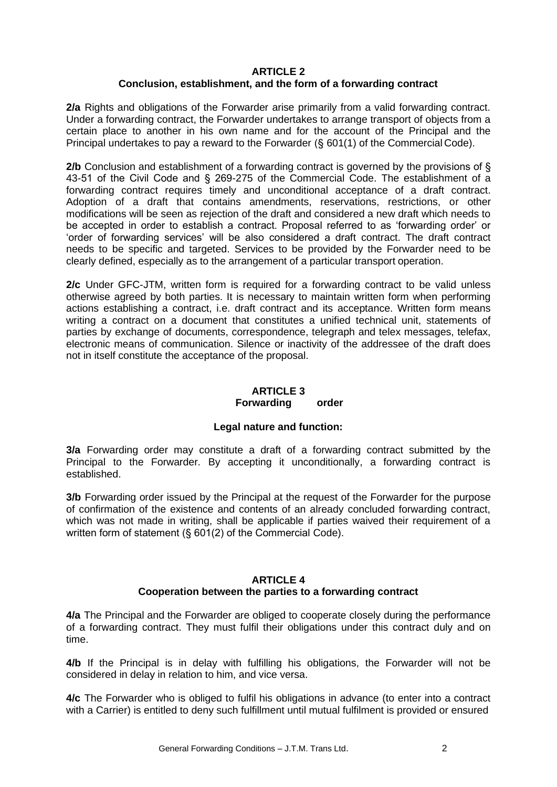## **ARTICLE 2 Conclusion, establishment, and the form of a forwarding contract**

**2/a** Rights and obligations of the Forwarder arise primarily from a valid forwarding contract. Under a forwarding contract, the Forwarder undertakes to arrange transport of objects from a certain place to another in his own name and for the account of the Principal and the Principal undertakes to pay a reward to the Forwarder (§ 601(1) of the Commercial Code).

**2/b** Conclusion and establishment of a forwarding contract is governed by the provisions of § 43-51 of the Civil Code and § 269-275 of the Commercial Code. The establishment of a forwarding contract requires timely and unconditional acceptance of a draft contract. Adoption of a draft that contains amendments, reservations, restrictions, or other modifications will be seen as rejection of the draft and considered a new draft which needs to be accepted in order to establish a contract. Proposal referred to as 'forwarding order' or 'order of forwarding services' will be also considered a draft contract. The draft contract needs to be specific and targeted. Services to be provided by the Forwarder need to be clearly defined, especially as to the arrangement of a particular transport operation.

**2/c** Under GFC-JTM, written form is required for a forwarding contract to be valid unless otherwise agreed by both parties. It is necessary to maintain written form when performing actions establishing a contract, i.e. draft contract and its acceptance. Written form means writing a contract on a document that constitutes a unified technical unit, statements of parties by exchange of documents, correspondence, telegraph and telex messages, telefax, electronic means of communication. Silence or inactivity of the addressee of the draft does not in itself constitute the acceptance of the proposal.

# **ARTICLE 3**

# **Forwarding order**

# **Legal nature and function:**

**3/a** Forwarding order may constitute a draft of a forwarding contract submitted by the Principal to the Forwarder. By accepting it unconditionally, a forwarding contract is established.

**3/b** Forwarding order issued by the Principal at the request of the Forwarder for the purpose of confirmation of the existence and contents of an already concluded forwarding contract, which was not made in writing, shall be applicable if parties waived their requirement of a written form of statement (§ 601(2) of the Commercial Code).

# **ARTICLE 4**

# **Cooperation between the parties to a forwarding contract**

**4/a** The Principal and the Forwarder are obliged to cooperate closely during the performance of a forwarding contract. They must fulfil their obligations under this contract duly and on time.

**4/b** If the Principal is in delay with fulfilling his obligations, the Forwarder will not be considered in delay in relation to him, and vice versa.

**4/c** The Forwarder who is obliged to fulfil his obligations in advance (to enter into a contract with a Carrier) is entitled to deny such fulfillment until mutual fulfilment is provided or ensured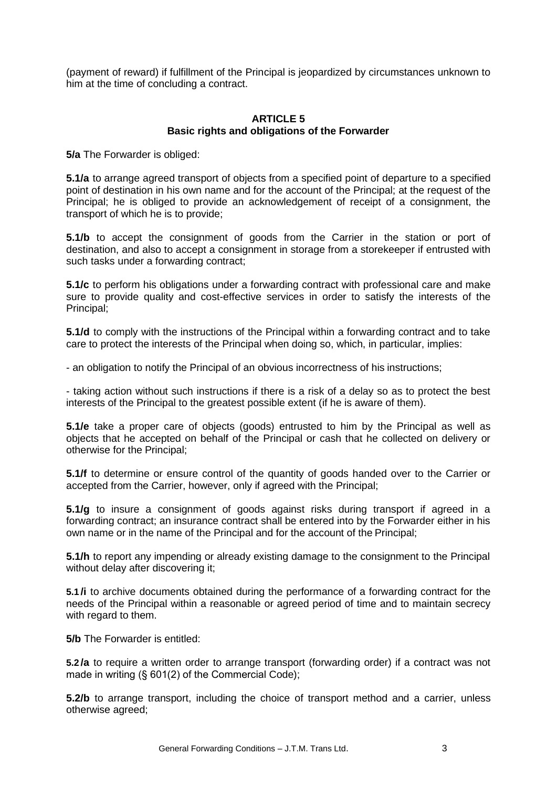(payment of reward) if fulfillment of the Principal is jeopardized by circumstances unknown to him at the time of concluding a contract.

## **ARTICLE 5 Basic rights and obligations of the Forwarder**

**5/a** The Forwarder is obliged:

**5.1/a** to arrange agreed transport of objects from a specified point of departure to a specified point of destination in his own name and for the account of the Principal; at the request of the Principal; he is obliged to provide an acknowledgement of receipt of a consignment, the transport of which he is to provide;

**5.1/b** to accept the consignment of goods from the Carrier in the station or port of destination, and also to accept a consignment in storage from a storekeeper if entrusted with such tasks under a forwarding contract;

**5.1/c** to perform his obligations under a forwarding contract with professional care and make sure to provide quality and cost-effective services in order to satisfy the interests of the Principal;

**5.1/d** to comply with the instructions of the Principal within a forwarding contract and to take care to protect the interests of the Principal when doing so, which, in particular, implies:

- an obligation to notify the Principal of an obvious incorrectness of his instructions;

- taking action without such instructions if there is a risk of a delay so as to protect the best interests of the Principal to the greatest possible extent (if he is aware of them).

**5.1/e** take a proper care of objects (goods) entrusted to him by the Principal as well as objects that he accepted on behalf of the Principal or cash that he collected on delivery or otherwise for the Principal;

**5.1/f** to determine or ensure control of the quantity of goods handed over to the Carrier or accepted from the Carrier, however, only if agreed with the Principal;

**5.1/g** to insure a consignment of goods against risks during transport if agreed in a forwarding contract; an insurance contract shall be entered into by the Forwarder either in his own name or in the name of the Principal and for the account of the Principal;

**5.1/h** to report any impending or already existing damage to the consignment to the Principal without delay after discovering it;

**5.1 /i** to archive documents obtained during the performance of a forwarding contract for the needs of the Principal within a reasonable or agreed period of time and to maintain secrecy with regard to them.

**5/b** The Forwarder is entitled:

**5.2 /a** to require a written order to arrange transport (forwarding order) if a contract was not made in writing (§ 601(2) of the Commercial Code);

**5.2/b** to arrange transport, including the choice of transport method and a carrier, unless otherwise agreed;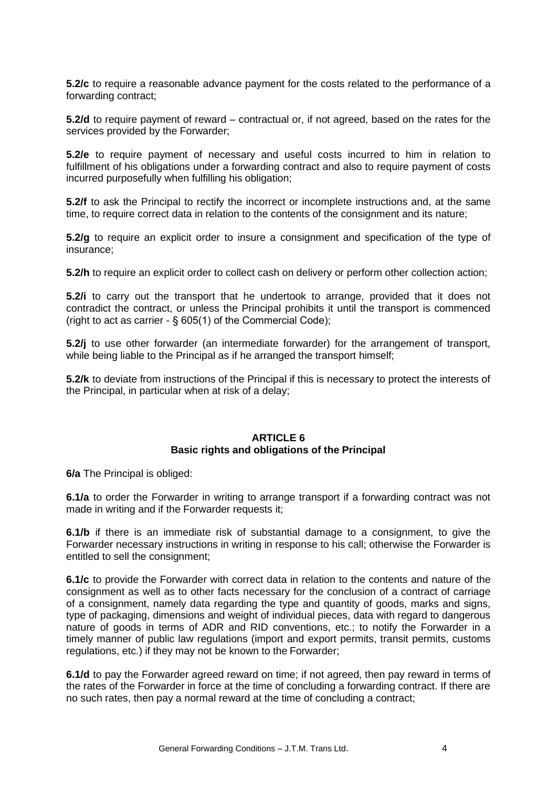**5.2/c** to require a reasonable advance payment for the costs related to the performance of a forwarding contract;

**5.2/d** to require payment of reward – contractual or, if not agreed, based on the rates for the services provided by the Forwarder;

**5.2/e** to require payment of necessary and useful costs incurred to him in relation to fulfillment of his obligations under a forwarding contract and also to require payment of costs incurred purposefully when fulfilling his obligation;

**5.2/f** to ask the Principal to rectify the incorrect or incomplete instructions and, at the same time, to require correct data in relation to the contents of the consignment and its nature;

**5.2/g** to require an explicit order to insure a consignment and specification of the type of insurance;

**5.2/h** to require an explicit order to collect cash on delivery or perform other collection action;

**5.2/i** to carry out the transport that he undertook to arrange, provided that it does not contradict the contract, or unless the Principal prohibits it until the transport is commenced (right to act as carrier - § 605(1) of the Commercial Code);

**5.2/j** to use other forwarder (an intermediate forwarder) for the arrangement of transport, while being liable to the Principal as if he arranged the transport himself;

**5.2/k** to deviate from instructions of the Principal if this is necessary to protect the interests of the Principal, in particular when at risk of a delay;

## **ARTICLE 6 Basic rights and obligations of the Principal**

**6/a** The Principal is obliged:

**6.1/a** to order the Forwarder in writing to arrange transport if a forwarding contract was not made in writing and if the Forwarder requests it;

**6.1/b** if there is an immediate risk of substantial damage to a consignment, to give the Forwarder necessary instructions in writing in response to his call; otherwise the Forwarder is entitled to sell the consignment;

**6.1/c** to provide the Forwarder with correct data in relation to the contents and nature of the consignment as well as to other facts necessary for the conclusion of a contract of carriage of a consignment, namely data regarding the type and quantity of goods, marks and signs, type of packaging, dimensions and weight of individual pieces, data with regard to dangerous nature of goods in terms of ADR and RID conventions, etc.; to notify the Forwarder in a timely manner of public law regulations (import and export permits, transit permits, customs regulations, etc.) if they may not be known to the Forwarder;

**6.1/d** to pay the Forwarder agreed reward on time; if not agreed, then pay reward in terms of the rates of the Forwarder in force at the time of concluding a forwarding contract. If there are no such rates, then pay a normal reward at the time of concluding a contract;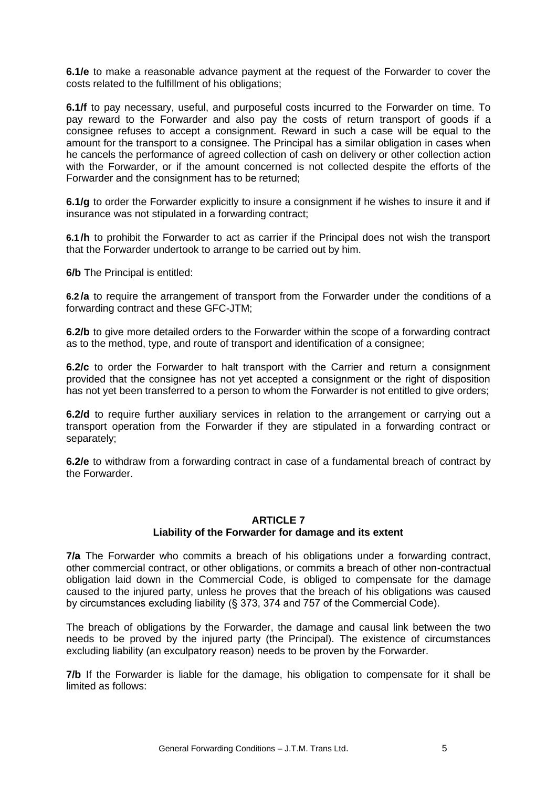**6.1/e** to make a reasonable advance payment at the request of the Forwarder to cover the costs related to the fulfillment of his obligations;

**6.1/f** to pay necessary, useful, and purposeful costs incurred to the Forwarder on time. To pay reward to the Forwarder and also pay the costs of return transport of goods if a consignee refuses to accept a consignment. Reward in such a case will be equal to the amount for the transport to a consignee. The Principal has a similar obligation in cases when he cancels the performance of agreed collection of cash on delivery or other collection action with the Forwarder, or if the amount concerned is not collected despite the efforts of the Forwarder and the consignment has to be returned;

**6.1/g** to order the Forwarder explicitly to insure a consignment if he wishes to insure it and if insurance was not stipulated in a forwarding contract;

**6.1 /h** to prohibit the Forwarder to act as carrier if the Principal does not wish the transport that the Forwarder undertook to arrange to be carried out by him.

**6/b** The Principal is entitled:

**6.2 /a** to require the arrangement of transport from the Forwarder under the conditions of a forwarding contract and these GFC-JTM;

**6.2/b** to give more detailed orders to the Forwarder within the scope of a forwarding contract as to the method, type, and route of transport and identification of a consignee;

**6.2/c** to order the Forwarder to halt transport with the Carrier and return a consignment provided that the consignee has not yet accepted a consignment or the right of disposition has not yet been transferred to a person to whom the Forwarder is not entitled to give orders;

**6.2/d** to require further auxiliary services in relation to the arrangement or carrying out a transport operation from the Forwarder if they are stipulated in a forwarding contract or separately;

**6.2/e** to withdraw from a forwarding contract in case of a fundamental breach of contract by the Forwarder.

### **ARTICLE 7 Liability of the Forwarder for damage and its extent**

**7/a** The Forwarder who commits a breach of his obligations under a forwarding contract, other commercial contract, or other obligations, or commits a breach of other non-contractual obligation laid down in the Commercial Code, is obliged to compensate for the damage caused to the injured party, unless he proves that the breach of his obligations was caused by circumstances excluding liability (§ 373, 374 and 757 of the Commercial Code).

The breach of obligations by the Forwarder, the damage and causal link between the two needs to be proved by the injured party (the Principal). The existence of circumstances excluding liability (an exculpatory reason) needs to be proven by the Forwarder.

**7/b** If the Forwarder is liable for the damage, his obligation to compensate for it shall be limited as follows: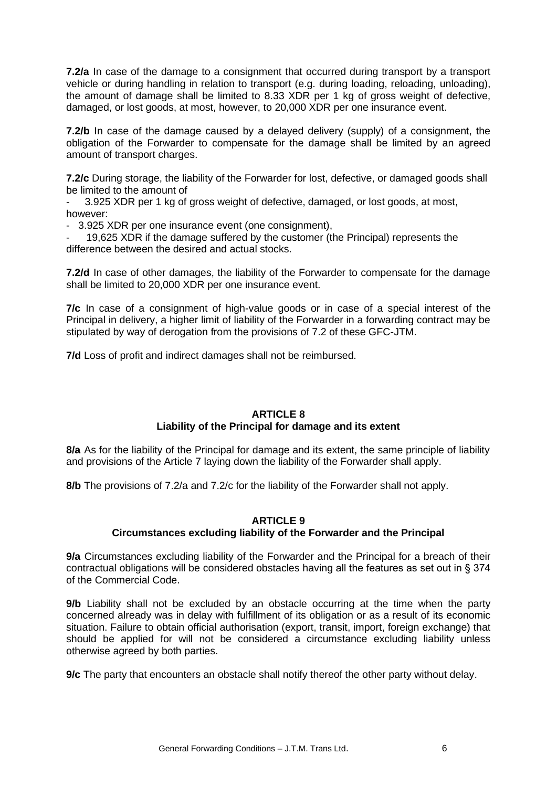**7.2/a** In case of the damage to a consignment that occurred during transport by a transport vehicle or during handling in relation to transport (e.g. during loading, reloading, unloading), the amount of damage shall be limited to 8.33 XDR per 1 kg of gross weight of defective, damaged, or lost goods, at most, however, to 20,000 XDR per one insurance event.

**7.2/b** In case of the damage caused by a delayed delivery (supply) of a consignment, the obligation of the Forwarder to compensate for the damage shall be limited by an agreed amount of transport charges.

**7.2/c** During storage, the liability of the Forwarder for lost, defective, or damaged goods shall be limited to the amount of

- 3.925 XDR per 1 kg of gross weight of defective, damaged, or lost goods, at most, however:

- 3.925 XDR per one insurance event (one consignment),

19,625 XDR if the damage suffered by the customer (the Principal) represents the difference between the desired and actual stocks.

**7.2/d** In case of other damages, the liability of the Forwarder to compensate for the damage shall be limited to 20,000 XDR per one insurance event.

**7/c** In case of a consignment of high-value goods or in case of a special interest of the Principal in delivery, a higher limit of liability of the Forwarder in a forwarding contract may be stipulated by way of derogation from the provisions of 7.2 of these GFC-JTM.

**7/d** Loss of profit and indirect damages shall not be reimbursed.

## **ARTICLE 8**

## **Liability of the Principal for damage and its extent**

**8/a** As for the liability of the Principal for damage and its extent, the same principle of liability and provisions of the Article 7 laying down the liability of the Forwarder shall apply.

**8/b** The provisions of 7.2/a and 7.2/c for the liability of the Forwarder shall not apply.

### **ARTICLE 9**

## **Circumstances excluding liability of the Forwarder and the Principal**

**9/a** Circumstances excluding liability of the Forwarder and the Principal for a breach of their contractual obligations will be considered obstacles having all the features as set out in § 374 of the Commercial Code.

**9/b** Liability shall not be excluded by an obstacle occurring at the time when the party concerned already was in delay with fulfillment of its obligation or as a result of its economic situation. Failure to obtain official authorisation (export, transit, import, foreign exchange) that should be applied for will not be considered a circumstance excluding liability unless otherwise agreed by both parties.

**9/c** The party that encounters an obstacle shall notify thereof the other party without delay.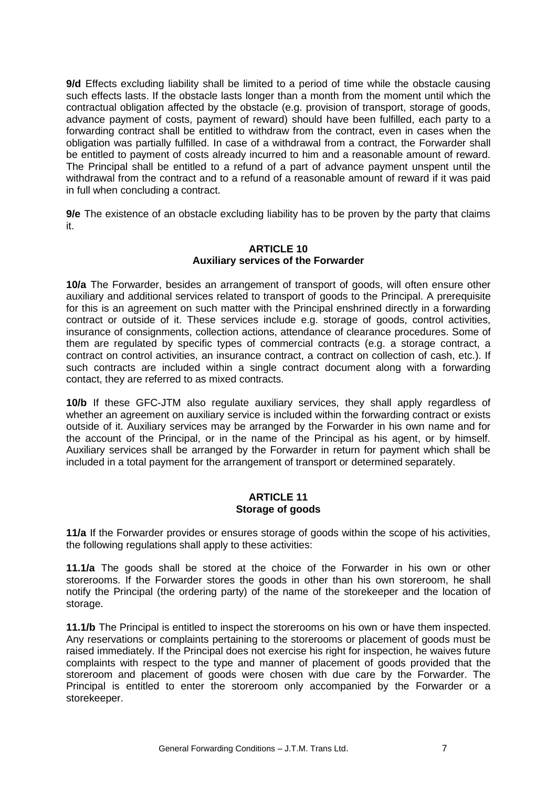**9/d** Effects excluding liability shall be limited to a period of time while the obstacle causing such effects lasts. If the obstacle lasts longer than a month from the moment until which the contractual obligation affected by the obstacle (e.g. provision of transport, storage of goods, advance payment of costs, payment of reward) should have been fulfilled, each party to a forwarding contract shall be entitled to withdraw from the contract, even in cases when the obligation was partially fulfilled. In case of a withdrawal from a contract, the Forwarder shall be entitled to payment of costs already incurred to him and a reasonable amount of reward. The Principal shall be entitled to a refund of a part of advance payment unspent until the withdrawal from the contract and to a refund of a reasonable amount of reward if it was paid in full when concluding a contract.

**9/e** The existence of an obstacle excluding liability has to be proven by the party that claims it.

## **ARTICLE 10 Auxiliary services of the Forwarder**

**10/a** The Forwarder, besides an arrangement of transport of goods, will often ensure other auxiliary and additional services related to transport of goods to the Principal. A prerequisite for this is an agreement on such matter with the Principal enshrined directly in a forwarding contract or outside of it. These services include e.g. storage of goods, control activities, insurance of consignments, collection actions, attendance of clearance procedures. Some of them are regulated by specific types of commercial contracts (e.g. a storage contract, a contract on control activities, an insurance contract, a contract on collection of cash, etc.). If such contracts are included within a single contract document along with a forwarding contact, they are referred to as mixed contracts.

**10/b** If these GFC-JTM also regulate auxiliary services, they shall apply regardless of whether an agreement on auxiliary service is included within the forwarding contract or exists outside of it. Auxiliary services may be arranged by the Forwarder in his own name and for the account of the Principal, or in the name of the Principal as his agent, or by himself. Auxiliary services shall be arranged by the Forwarder in return for payment which shall be included in a total payment for the arrangement of transport or determined separately.

### **ARTICLE 11 Storage of goods**

**11/a** If the Forwarder provides or ensures storage of goods within the scope of his activities, the following regulations shall apply to these activities:

**11.1/a** The goods shall be stored at the choice of the Forwarder in his own or other storerooms. If the Forwarder stores the goods in other than his own storeroom, he shall notify the Principal (the ordering party) of the name of the storekeeper and the location of storage.

**11.1/b** The Principal is entitled to inspect the storerooms on his own or have them inspected. Any reservations or complaints pertaining to the storerooms or placement of goods must be raised immediately. If the Principal does not exercise his right for inspection, he waives future complaints with respect to the type and manner of placement of goods provided that the storeroom and placement of goods were chosen with due care by the Forwarder. The Principal is entitled to enter the storeroom only accompanied by the Forwarder or a storekeeper.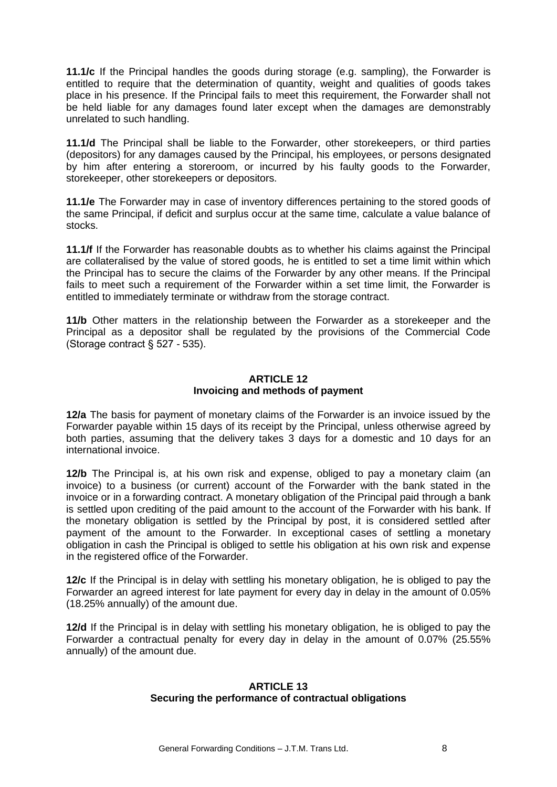**11.1/c** If the Principal handles the goods during storage (e.g. sampling), the Forwarder is entitled to require that the determination of quantity, weight and qualities of goods takes place in his presence. If the Principal fails to meet this requirement, the Forwarder shall not be held liable for any damages found later except when the damages are demonstrably unrelated to such handling.

**11.1/d** The Principal shall be liable to the Forwarder, other storekeepers, or third parties (depositors) for any damages caused by the Principal, his employees, or persons designated by him after entering a storeroom, or incurred by his faulty goods to the Forwarder, storekeeper, other storekeepers or depositors.

**11.1/e** The Forwarder may in case of inventory differences pertaining to the stored goods of the same Principal, if deficit and surplus occur at the same time, calculate a value balance of stocks.

**11.1/f** If the Forwarder has reasonable doubts as to whether his claims against the Principal are collateralised by the value of stored goods, he is entitled to set a time limit within which the Principal has to secure the claims of the Forwarder by any other means. If the Principal fails to meet such a requirement of the Forwarder within a set time limit, the Forwarder is entitled to immediately terminate or withdraw from the storage contract.

**11/b** Other matters in the relationship between the Forwarder as a storekeeper and the Principal as a depositor shall be regulated by the provisions of the Commercial Code (Storage contract § 527 - 535).

## **ARTICLE 12 Invoicing and methods of payment**

**12/a** The basis for payment of monetary claims of the Forwarder is an invoice issued by the Forwarder payable within 15 days of its receipt by the Principal, unless otherwise agreed by both parties, assuming that the delivery takes 3 days for a domestic and 10 days for an international invoice.

**12/b** The Principal is, at his own risk and expense, obliged to pay a monetary claim (an invoice) to a business (or current) account of the Forwarder with the bank stated in the invoice or in a forwarding contract. A monetary obligation of the Principal paid through a bank is settled upon crediting of the paid amount to the account of the Forwarder with his bank. If the monetary obligation is settled by the Principal by post, it is considered settled after payment of the amount to the Forwarder. In exceptional cases of settling a monetary obligation in cash the Principal is obliged to settle his obligation at his own risk and expense in the registered office of the Forwarder.

**12/c** If the Principal is in delay with settling his monetary obligation, he is obliged to pay the Forwarder an agreed interest for late payment for every day in delay in the amount of 0.05% (18.25% annually) of the amount due.

**12/d** If the Principal is in delay with settling his monetary obligation, he is obliged to pay the Forwarder a contractual penalty for every day in delay in the amount of 0.07% (25.55% annually) of the amount due.

## **ARTICLE 13 Securing the performance of contractual obligations**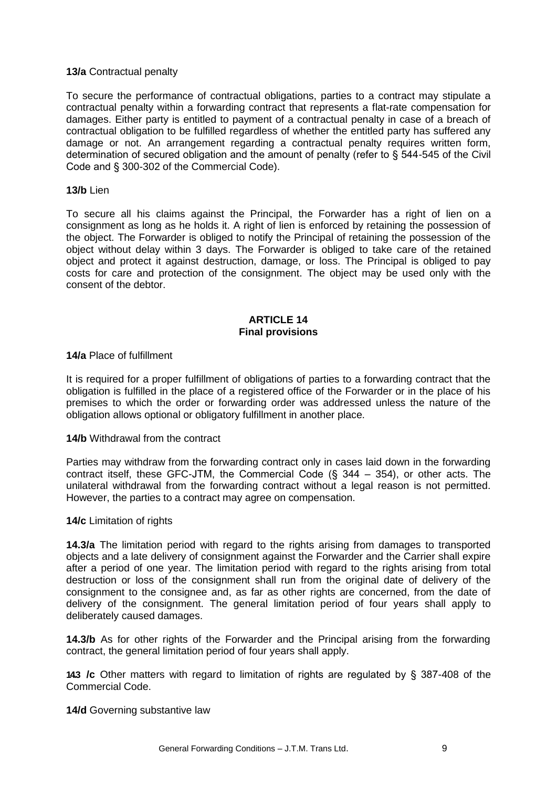## **13/a** Contractual penalty

To secure the performance of contractual obligations, parties to a contract may stipulate a contractual penalty within a forwarding contract that represents a flat-rate compensation for damages. Either party is entitled to payment of a contractual penalty in case of a breach of contractual obligation to be fulfilled regardless of whether the entitled party has suffered any damage or not. An arrangement regarding a contractual penalty requires written form, determination of secured obligation and the amount of penalty (refer to § 544-545 of the Civil Code and § 300-302 of the Commercial Code).

### **13/b** Lien

To secure all his claims against the Principal, the Forwarder has a right of lien on a consignment as long as he holds it. A right of lien is enforced by retaining the possession of the object. The Forwarder is obliged to notify the Principal of retaining the possession of the object without delay within 3 days. The Forwarder is obliged to take care of the retained object and protect it against destruction, damage, or loss. The Principal is obliged to pay costs for care and protection of the consignment. The object may be used only with the consent of the debtor.

### **ARTICLE 14 Final provisions**

## **14/a** Place of fulfillment

It is required for a proper fulfillment of obligations of parties to a forwarding contract that the obligation is fulfilled in the place of a registered office of the Forwarder or in the place of his premises to which the order or forwarding order was addressed unless the nature of the obligation allows optional or obligatory fulfillment in another place.

### **14/b** Withdrawal from the contract

Parties may withdraw from the forwarding contract only in cases laid down in the forwarding contract itself, these GFC-JTM, the Commercial Code (§ 344 – 354), or other acts. The unilateral withdrawal from the forwarding contract without a legal reason is not permitted. However, the parties to a contract may agree on compensation.

### **14/c** Limitation of rights

**14.3/a** The limitation period with regard to the rights arising from damages to transported objects and a late delivery of consignment against the Forwarder and the Carrier shall expire after a period of one year. The limitation period with regard to the rights arising from total destruction or loss of the consignment shall run from the original date of delivery of the consignment to the consignee and, as far as other rights are concerned, from the date of delivery of the consignment. The general limitation period of four years shall apply to deliberately caused damages.

**14.3/b** As for other rights of the Forwarder and the Principal arising from the forwarding contract, the general limitation period of four years shall apply.

**14.3 /c** Other matters with regard to limitation of rights are regulated by § 387-408 of the Commercial Code.

**14/d** Governing substantive law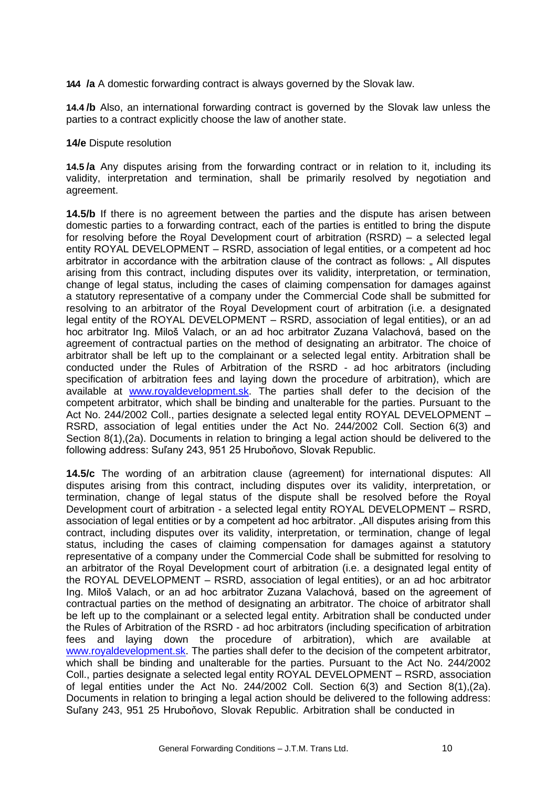**14.4 /a** A domestic forwarding contract is always governed by the Slovak law.

**14.4 /b** Also, an international forwarding contract is governed by the Slovak law unless the parties to a contract explicitly choose the law of another state.

### **14/e** Dispute resolution

**14.5 /a** Any disputes arising from the forwarding contract or in relation to it, including its validity, interpretation and termination, shall be primarily resolved by negotiation and agreement.

**14.5/b** If there is no agreement between the parties and the dispute has arisen between domestic parties to a forwarding contract, each of the parties is entitled to bring the dispute for resolving before the Royal Development court of arbitration (RSRD) – a selected legal entity ROYAL DEVELOPMENT – RSRD, association of legal entities, or a competent ad hoc arbitrator in accordance with the arbitration clause of the contract as follows: " All disputes arising from this contract, including disputes over its validity, interpretation, or termination, change of legal status, including the cases of claiming compensation for damages against a statutory representative of a company under the Commercial Code shall be submitted for resolving to an arbitrator of the Royal Development court of arbitration (i.e. a designated legal entity of the ROYAL DEVELOPMENT – RSRD, association of legal entities), or an ad hoc arbitrator Ing. Miloš Valach, or an ad hoc arbitrator Zuzana Valachová, based on the agreement of contractual parties on the method of designating an arbitrator. The choice of arbitrator shall be left up to the complainant or a selected legal entity. Arbitration shall be conducted under the Rules of Arbitration of the RSRD - ad hoc arbitrators (including specification of arbitration fees and laying down the procedure of arbitration), which are available at [www.royaldevelopment.sk.](http://www.royaldevelopment.sk/) The parties shall defer to the decision of the competent arbitrator, which shall be binding and unalterable for the parties. Pursuant to the Act No. 244/2002 Coll., parties designate a selected legal entity ROYAL DEVELOPMENT – RSRD, association of legal entities under the Act No. 244/2002 Coll. Section 6(3) and Section 8(1),(2a). Documents in relation to bringing a legal action should be delivered to the following address: Suľany 243, 951 25 Hruboňovo, Slovak Republic.

**14.5/c** The wording of an arbitration clause (agreement) for international disputes: All disputes arising from this contract, including disputes over its validity, interpretation, or termination, change of legal status of the dispute shall be resolved before the Royal Development court of arbitration - a selected legal entity ROYAL DEVELOPMENT – RSRD, association of legal entities or by a competent ad hoc arbitrator. "All disputes arising from this contract, including disputes over its validity, interpretation, or termination, change of legal status, including the cases of claiming compensation for damages against a statutory representative of a company under the Commercial Code shall be submitted for resolving to an arbitrator of the Royal Development court of arbitration (i.e. a designated legal entity of the ROYAL DEVELOPMENT – RSRD, association of legal entities), or an ad hoc arbitrator Ing. Miloš Valach, or an ad hoc arbitrator Zuzana Valachová, based on the agreement of contractual parties on the method of designating an arbitrator. The choice of arbitrator shall be left up to the complainant or a selected legal entity. Arbitration shall be conducted under the Rules of Arbitration of the RSRD - ad hoc arbitrators (including specification of arbitration fees and laying down the procedure of arbitration), which are available a[t](http://www.royaldevelopment.sk/) [www.royaldevelopment.sk.](http://www.royaldevelopment.sk/) The parties shall defer to the decision of the competent arbitrator, which shall be binding and unalterable for the parties. Pursuant to the Act No. 244/2002 Coll., parties designate a selected legal entity ROYAL DEVELOPMENT – RSRD, association of legal entities under the Act No. 244/2002 Coll. Section 6(3) and Section 8(1),(2a). Documents in relation to bringing a legal action should be delivered to the following address: Suľany 243, 951 25 Hruboňovo, Slovak Republic. Arbitration shall be conducted in